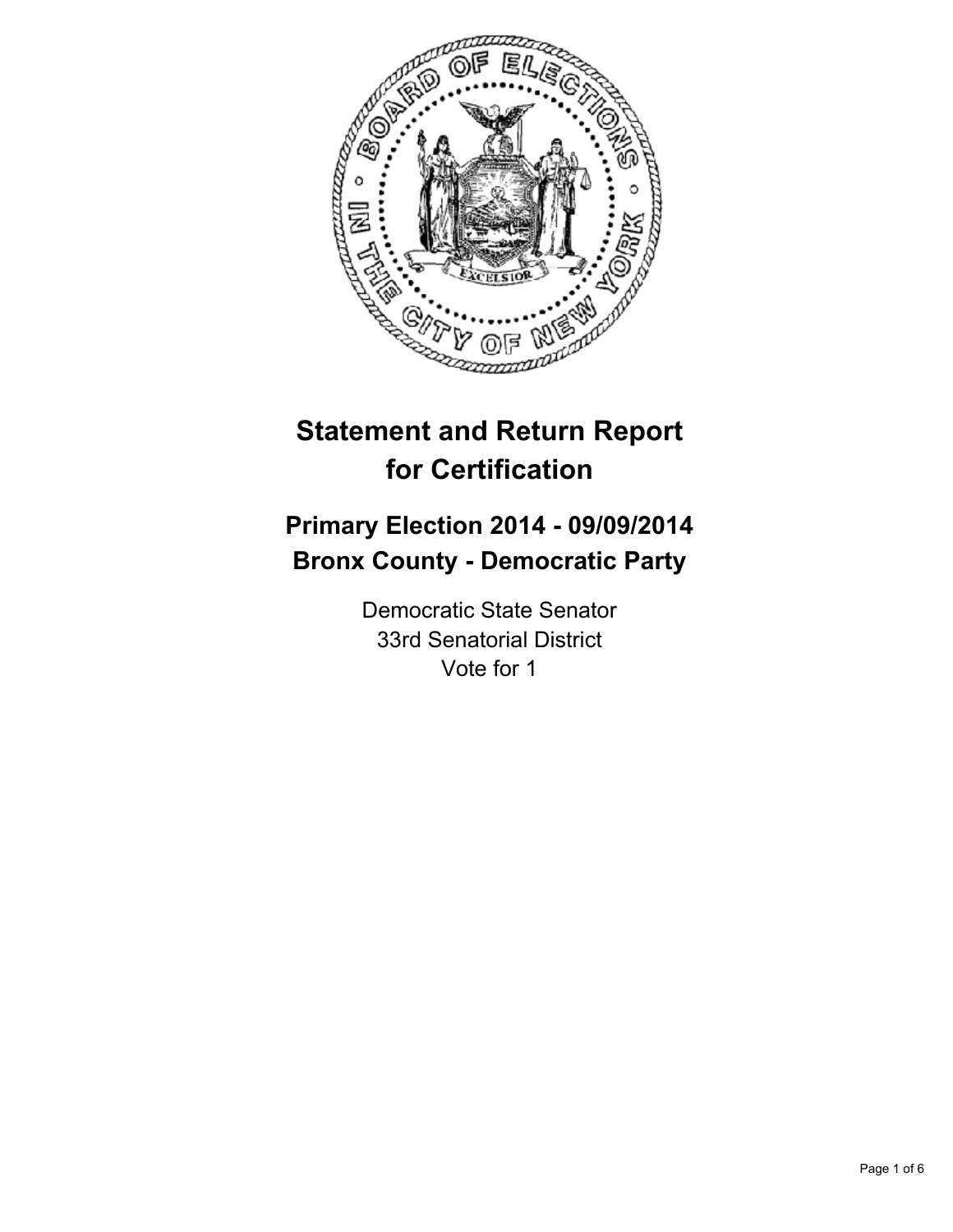

# **Statement and Return Report for Certification**

## **Primary Election 2014 - 09/09/2014 Bronx County - Democratic Party**

Democratic State Senator 33rd Senatorial District Vote for 1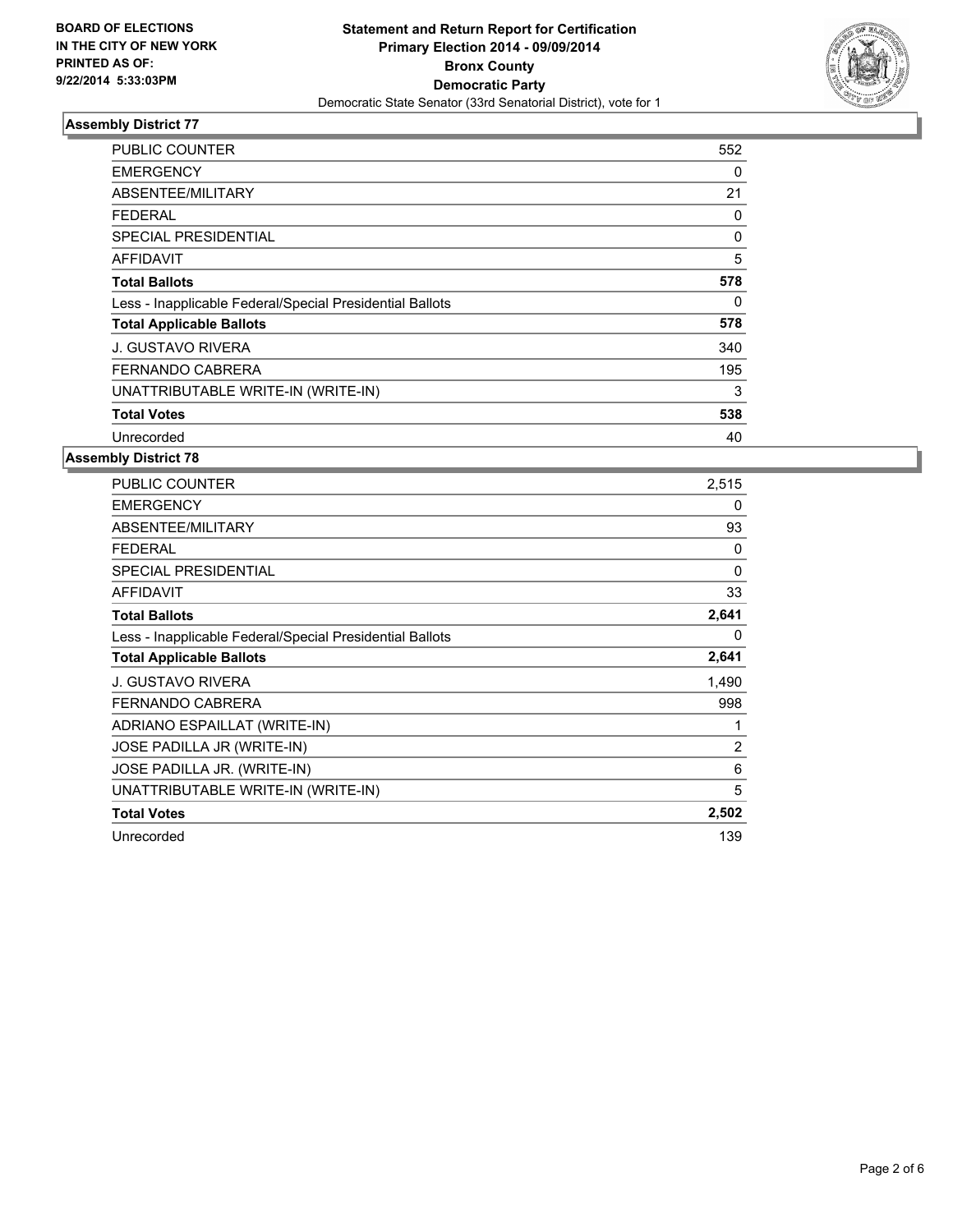

| PUBLIC COUNTER                                           | 552 |
|----------------------------------------------------------|-----|
| <b>EMERGENCY</b>                                         | 0   |
| ABSENTEE/MILITARY                                        | 21  |
| <b>FEDERAL</b>                                           | 0   |
| SPECIAL PRESIDENTIAL                                     | 0   |
| AFFIDAVIT                                                | 5   |
| <b>Total Ballots</b>                                     | 578 |
| Less - Inapplicable Federal/Special Presidential Ballots | 0   |
| <b>Total Applicable Ballots</b>                          | 578 |
| <b>J. GUSTAVO RIVERA</b>                                 | 340 |
| <b>FERNANDO CABRERA</b>                                  | 195 |
| UNATTRIBUTABLE WRITE-IN (WRITE-IN)                       | 3   |
| <b>Total Votes</b>                                       | 538 |
| Unrecorded                                               | 40  |

| <b>PUBLIC COUNTER</b>                                    | 2,515        |
|----------------------------------------------------------|--------------|
| <b>EMERGENCY</b>                                         | 0            |
| ABSENTEE/MILITARY                                        | 93           |
| <b>FEDERAL</b>                                           | 0            |
| SPECIAL PRESIDENTIAL                                     | $\mathbf{0}$ |
| <b>AFFIDAVIT</b>                                         | 33           |
| <b>Total Ballots</b>                                     | 2,641        |
| Less - Inapplicable Federal/Special Presidential Ballots | 0            |
| <b>Total Applicable Ballots</b>                          | 2,641        |
| J. GUSTAVO RIVERA                                        | 1,490        |
| <b>FERNANDO CABRERA</b>                                  | 998          |
| ADRIANO ESPAILLAT (WRITE-IN)                             | 1            |
| JOSE PADILLA JR (WRITE-IN)                               | 2            |
| JOSE PADILLA JR. (WRITE-IN)                              | 6            |
| UNATTRIBUTABLE WRITE-IN (WRITE-IN)                       | 5            |
| <b>Total Votes</b>                                       | 2,502        |
| Unrecorded                                               | 139          |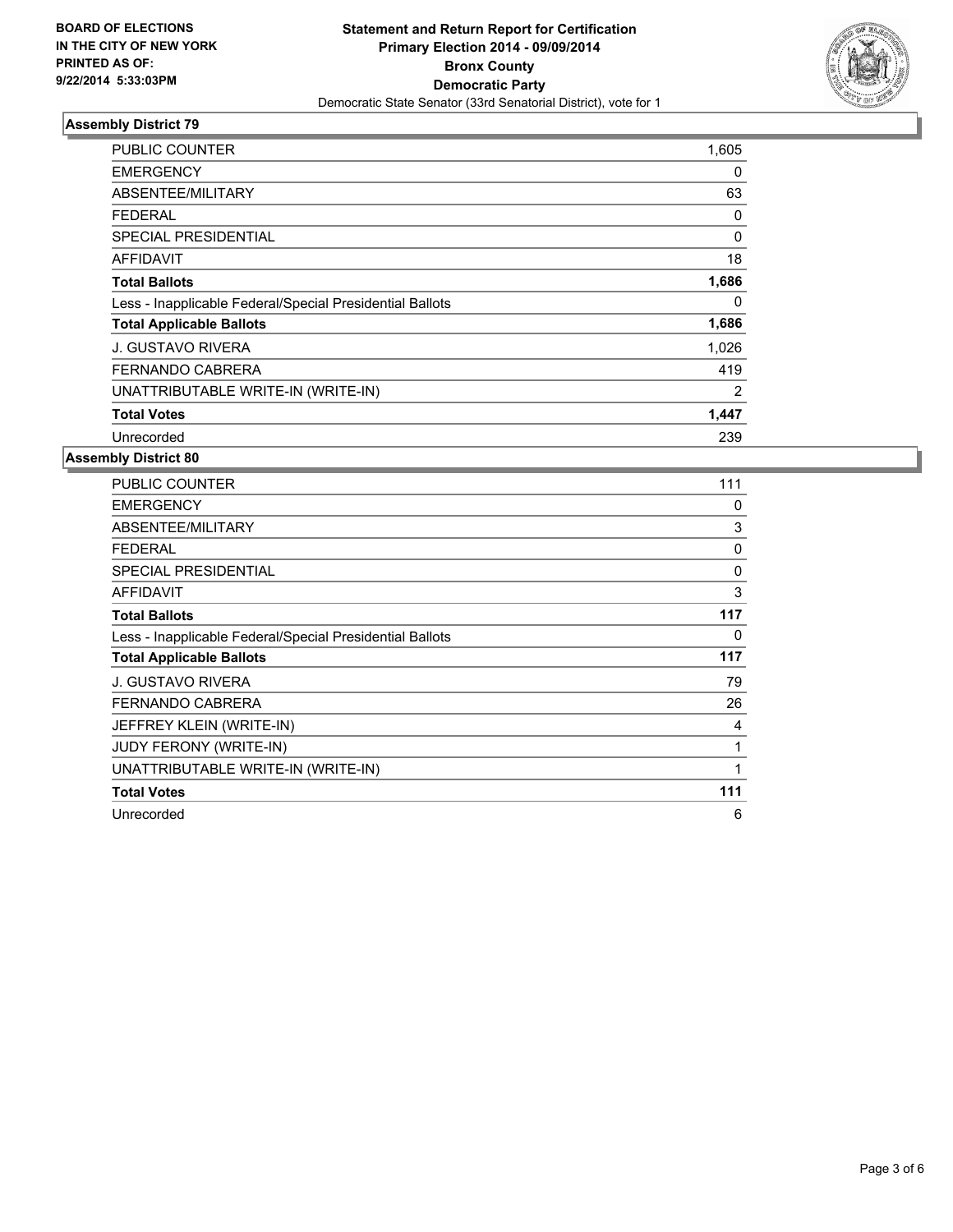

| <b>PUBLIC COUNTER</b>                                    | 1,605 |
|----------------------------------------------------------|-------|
| <b>EMERGENCY</b>                                         | 0     |
| ABSENTEE/MILITARY                                        | 63    |
| <b>FEDERAL</b>                                           | 0     |
| SPECIAL PRESIDENTIAL                                     | 0     |
| <b>AFFIDAVIT</b>                                         | 18    |
| <b>Total Ballots</b>                                     | 1,686 |
| Less - Inapplicable Federal/Special Presidential Ballots | 0     |
| <b>Total Applicable Ballots</b>                          | 1,686 |
| <b>J. GUSTAVO RIVERA</b>                                 | 1,026 |
| <b>FERNANDO CABRERA</b>                                  | 419   |
| UNATTRIBUTABLE WRITE-IN (WRITE-IN)                       | 2     |
| <b>Total Votes</b>                                       | 1,447 |
| Unrecorded                                               | 239   |

| <b>PUBLIC COUNTER</b>                                    | 111 |
|----------------------------------------------------------|-----|
| <b>EMERGENCY</b>                                         | 0   |
| ABSENTEE/MILITARY                                        | 3   |
| <b>FEDERAL</b>                                           | 0   |
| <b>SPECIAL PRESIDENTIAL</b>                              | 0   |
| <b>AFFIDAVIT</b>                                         | 3   |
| <b>Total Ballots</b>                                     | 117 |
| Less - Inapplicable Federal/Special Presidential Ballots | 0   |
| <b>Total Applicable Ballots</b>                          | 117 |
| <b>J. GUSTAVO RIVERA</b>                                 | 79  |
| FERNANDO CABRERA                                         | 26  |
| JEFFREY KLEIN (WRITE-IN)                                 | 4   |
| JUDY FERONY (WRITE-IN)                                   | 1   |
| UNATTRIBUTABLE WRITE-IN (WRITE-IN)                       | 1   |
| <b>Total Votes</b>                                       | 111 |
| Unrecorded                                               | 6   |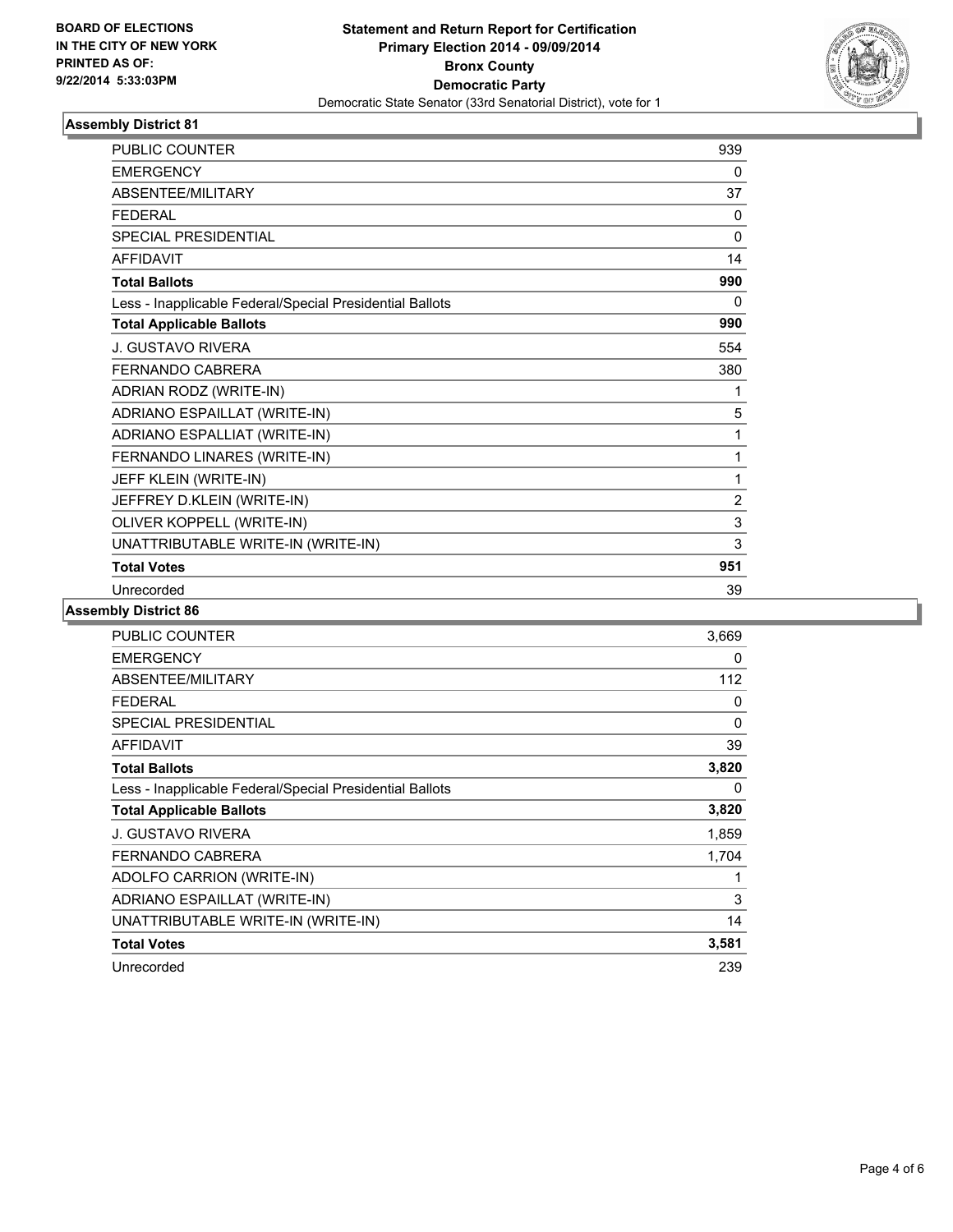

| <b>PUBLIC COUNTER</b>                                    | 939            |
|----------------------------------------------------------|----------------|
| <b>EMERGENCY</b>                                         | 0              |
| ABSENTEE/MILITARY                                        | 37             |
| <b>FEDERAL</b>                                           | 0              |
| SPECIAL PRESIDENTIAL                                     | $\mathbf{0}$   |
| <b>AFFIDAVIT</b>                                         | 14             |
| <b>Total Ballots</b>                                     | 990            |
| Less - Inapplicable Federal/Special Presidential Ballots | 0              |
| <b>Total Applicable Ballots</b>                          | 990            |
| J. GUSTAVO RIVERA                                        | 554            |
| <b>FERNANDO CABRERA</b>                                  | 380            |
| ADRIAN RODZ (WRITE-IN)                                   | 1              |
| ADRIANO ESPAILLAT (WRITE-IN)                             | 5              |
| ADRIANO ESPALLIAT (WRITE-IN)                             | 1              |
| FERNANDO LINARES (WRITE-IN)                              | 1              |
| JEFF KLEIN (WRITE-IN)                                    | 1              |
| JEFFREY D.KLEIN (WRITE-IN)                               | $\overline{2}$ |
| OLIVER KOPPELL (WRITE-IN)                                | 3              |
| UNATTRIBUTABLE WRITE-IN (WRITE-IN)                       | 3              |
| <b>Total Votes</b>                                       | 951            |
| Unrecorded                                               | 39             |

| <b>PUBLIC COUNTER</b>                                    | 3,669        |
|----------------------------------------------------------|--------------|
| <b>EMERGENCY</b>                                         | 0            |
| ABSENTEE/MILITARY                                        | 112          |
| <b>FEDERAL</b>                                           | 0            |
| <b>SPECIAL PRESIDENTIAL</b>                              | $\mathbf{0}$ |
| <b>AFFIDAVIT</b>                                         | 39           |
| <b>Total Ballots</b>                                     | 3,820        |
| Less - Inapplicable Federal/Special Presidential Ballots | 0            |
| <b>Total Applicable Ballots</b>                          | 3,820        |
| J. GUSTAVO RIVERA                                        | 1,859        |
| <b>FERNANDO CABRERA</b>                                  | 1,704        |
| ADOLFO CARRION (WRITE-IN)                                | 1            |
| ADRIANO ESPAILLAT (WRITE-IN)                             | 3            |
| UNATTRIBUTABLE WRITE-IN (WRITE-IN)                       | 14           |
| <b>Total Votes</b>                                       | 3,581        |
| Unrecorded                                               | 239          |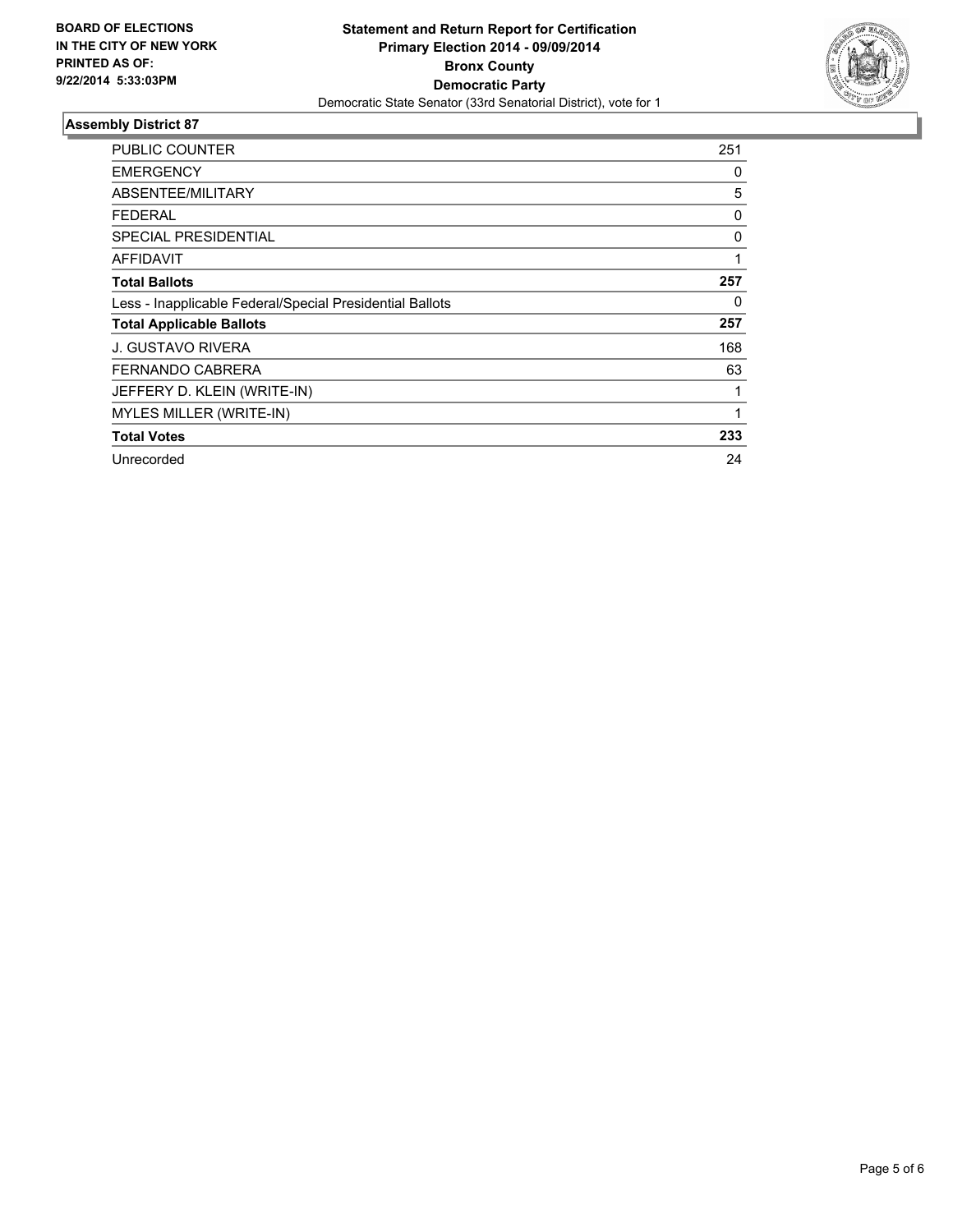

| PUBLIC COUNTER                                           | 251 |
|----------------------------------------------------------|-----|
| <b>EMERGENCY</b>                                         | 0   |
| ABSENTEE/MILITARY                                        | 5   |
| FEDERAL                                                  | 0   |
| <b>SPECIAL PRESIDENTIAL</b>                              | 0   |
| <b>AFFIDAVIT</b>                                         | 1   |
| <b>Total Ballots</b>                                     | 257 |
| Less - Inapplicable Federal/Special Presidential Ballots | 0   |
| <b>Total Applicable Ballots</b>                          | 257 |
| J. GUSTAVO RIVERA                                        | 168 |
| FERNANDO CABRERA                                         | 63  |
| JEFFERY D. KLEIN (WRITE-IN)                              |     |
| MYLES MILLER (WRITE-IN)                                  | 1   |
| <b>Total Votes</b>                                       | 233 |
| Unrecorded                                               | 24  |